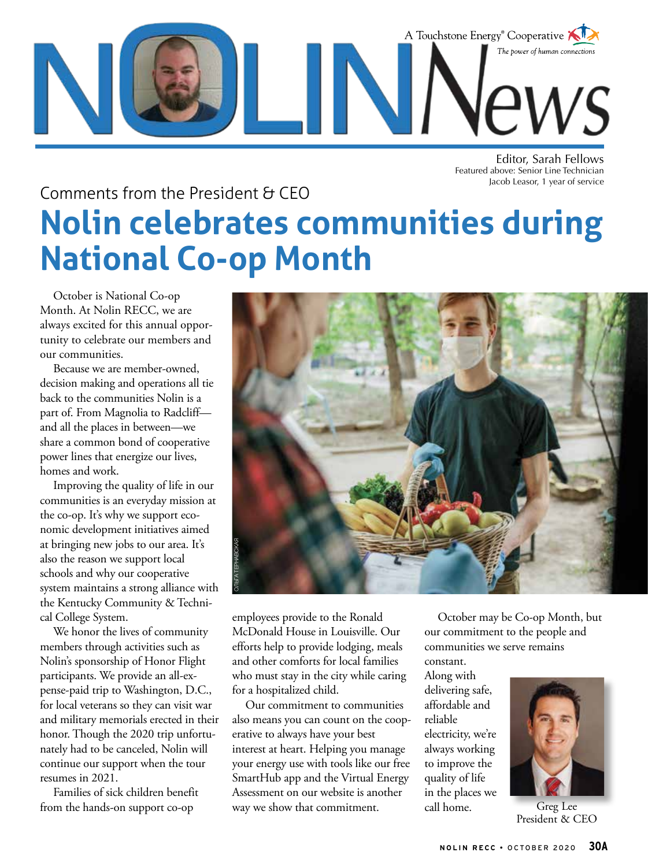

Editor, Sarah Fellows Featured above: Senior Line Technician Jacob Leasor, 1 year of service

### Comments from the President & CEO **Nolin celebrates communities during National Co-op Month**

October is National Co-op Month. At Nolin RECC, we are always excited for this annual opportunity to celebrate our members and our communities.

Because we are member-owned, decision making and operations all tie back to the communities Nolin is a part of. From Magnolia to Radcliff and all the places in between—we share a common bond of cooperative power lines that energize our lives, homes and work.

Improving the quality of life in our communities is an everyday mission at the co-op. It's why we support economic development initiatives aimed at bringing new jobs to our area. It's also the reason we support local schools and why our cooperative system maintains a strong alliance with the Kentucky Community & Technical College System.

We honor the lives of community members through activities such as Nolin's sponsorship of Honor Flight participants. We provide an all-expense-paid trip to Washington, D.C., for local veterans so they can visit war and military memorials erected in their honor. Though the 2020 trip unfortunately had to be canceled, Nolin will continue our support when the tour resumes in 2021.

Families of sick children benefit from the hands-on support co-op



employees provide to the Ronald McDonald House in Louisville. Our efforts help to provide lodging, meals and other comforts for local families who must stay in the city while caring for a hospitalized child.

Our commitment to communities also means you can count on the cooperative to always have your best interest at heart. Helping you manage your energy use with tools like our free SmartHub app and the Virtual Energy Assessment on our website is another way we show that commitment.

October may be Co-op Month, but our commitment to the people and communities we serve remains

constant. Along with delivering safe, affordable and reliable electricity, we're always working to improve the quality of life in the places we call home. Greg Lee



President & CEO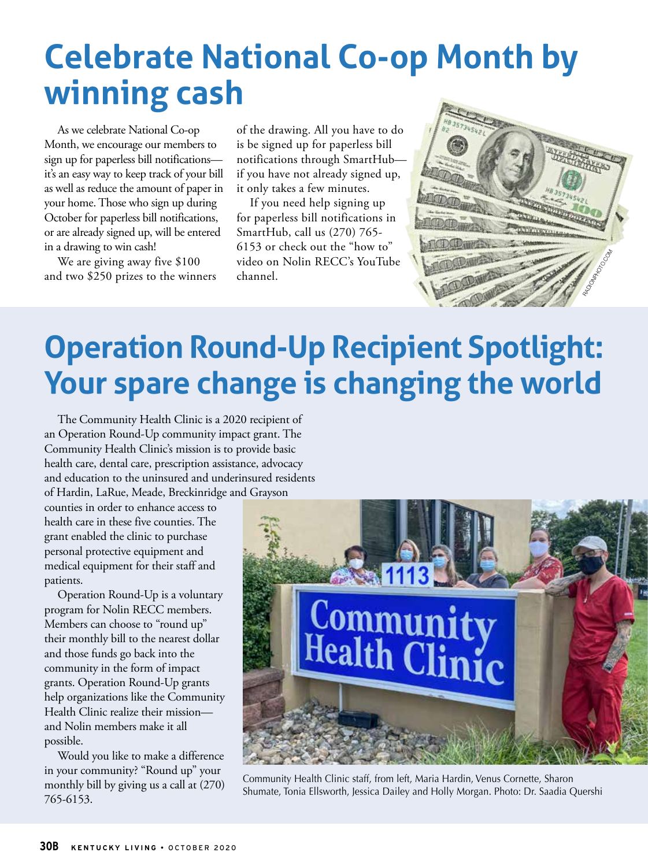## **Celebrate National Co-op Month by winning cash**

As we celebrate National Co-op Month, we encourage our members to sign up for paperless bill notifications it's an easy way to keep track of your bill as well as reduce the amount of paper in your home. Those who sign up during October for paperless bill notifications, or are already signed up, will be entered in a drawing to win cash!

We are giving away five \$100 and two \$250 prizes to the winners

of the drawing. All you have to do is be signed up for paperless bill notifications through SmartHub if you have not already signed up, it only takes a few minutes.

If you need help signing up for paperless bill notifications in SmartHub, call us (270) 765- 6153 or check out the "how to" video on Nolin RECC's YouTube channel.



### **Operation Round-Up Recipient Spotlight: Your spare change is changing the world**

The Community Health Clinic is a 2020 recipient of an Operation Round-Up community impact grant. The Community Health Clinic's mission is to provide basic health care, dental care, prescription assistance, advocacy and education to the uninsured and underinsured residents of Hardin, LaRue, Meade, Breckinridge and Grayson

counties in order to enhance access to health care in these five counties. The grant enabled the clinic to purchase personal protective equipment and medical equipment for their staff and patients.

Operation Round-Up is a voluntary program for Nolin RECC members. Members can choose to "round up" their monthly bill to the nearest dollar and those funds go back into the community in the form of impact grants. Operation Round-Up grants help organizations like the Community Health Clinic realize their mission and Nolin members make it all possible.

Would you like to make a difference in your community? "Round up" your monthly bill by giving us a call at (270) 765-6153.



Community Health Clinic staff, from left, Maria Hardin, Venus Cornette, Sharon Shumate, Tonia Ellsworth, Jessica Dailey and Holly Morgan. Photo: Dr. Saadia Quershi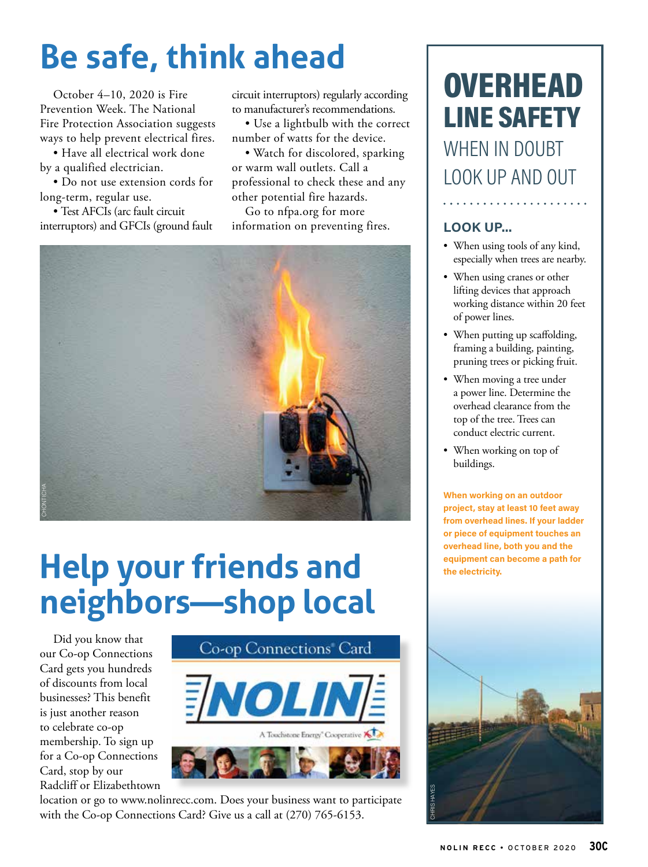# **Be safe, think ahead**

October 4–10, 2020 is Fire Prevention Week. The National Fire Protection Association suggests ways to help prevent electrical fires.

• Have all electrical work done by a qualified electrician.

• Do not use extension cords for long-term, regular use.

• Test AFCIs (arc fault circuit interruptors) and GFCIs (ground fault circuit interruptors) regularly according to manufacturer's recommendations.

• Use a lightbulb with the correct number of watts for the device.

• Watch for discolored, sparking or warm wall outlets. Call a professional to check these and any other potential fire hazards.

Go to nfpa.org for more information on preventing fires.



# **Help your friends and neighbors—shop local**

Did you know that our Co-op Connections Card gets you hundreds of discounts from local businesses? This benefit is just another reason to celebrate co-op membership. To sign up for a Co-op Connections Card, stop by our Radcliff or Elizabethtown



location or go to www.nolinrecc.com. Does your business want to participate

### **OVERHEAD** LINE SAFETY WHEN IN DOUBT LOOK UP AND OUT

#### **LOOK UP...**

• When using tools of any kind, especially when trees are nearby.

. . . . . . . . . . . . . . . . .

- When using cranes or other lifting devices that approach working distance within 20 feet of power lines.
- When putting up scaffolding, framing a building, painting, pruning trees or picking fruit.
- When moving a tree under a power line. Determine the overhead clearance from the top of the tree. Trees can conduct electric current.
- When working on top of buildings.

**When working on an outdoor project, stay at least 10 feet away from overhead lines. If your ladder or piece of equipment touches an overhead line, both you and the equipment can become a path for the electricity.**